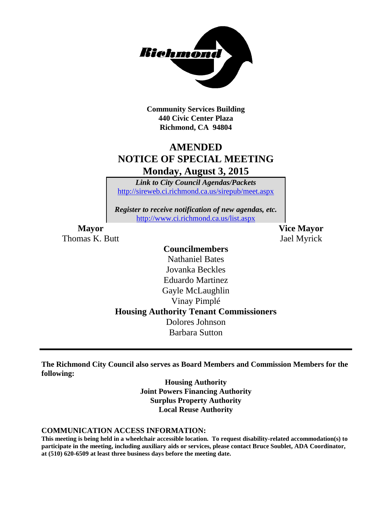

**Community Services Building 440 Civic Center Plaza Richmond, CA 94804**

## **AMENDED NOTICE OF SPECIAL MEETING**

**Monday, August 3, 2015**

*Link to City Council Agendas/Packets* <http://sireweb.ci.richmond.ca.us/sirepub/meet.aspx>

*Register to receive notification of new agendas, etc.* <http://www.ci.richmond.ca.us/list.aspx>

Thomas K. Butt Jael Myrick

**Mayor Vice Mayor**

#### **Councilmembers**

Nathaniel Bates Jovanka Beckles Eduardo Martinez Gayle McLaughlin Vinay Pimplé **Housing Authority Tenant Commissioners** Dolores Johnson Barbara Sutton

**The Richmond City Council also serves as Board Members and Commission Members for the following:**

> **Housing Authority Joint Powers Financing Authority Surplus Property Authority Local Reuse Authority**

#### **COMMUNICATION ACCESS INFORMATION:**

**This meeting is being held in a wheelchair accessible location. To request disability-related accommodation(s) to participate in the meeting, including auxiliary aids or services, please contact Bruce Soublet, ADA Coordinator, at (510) 620-6509 at least three business days before the meeting date.**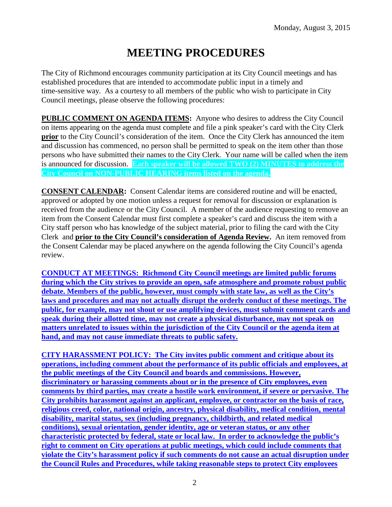# **MEETING PROCEDURES**

The City of Richmond encourages community participation at its City Council meetings and has established procedures that are intended to accommodate public input in a timely and time-sensitive way. As a courtesy to all members of the public who wish to participate in City Council meetings, please observe the following procedures:

**PUBLIC COMMENT ON AGENDA ITEMS:** Anyone who desires to address the City Council on items appearing on the agenda must complete and file a pink speaker's card with the City Clerk **prior** to the City Council's consideration of the item. Once the City Clerk has announced the item and discussion has commenced, no person shall be permitted to speak on the item other than those persons who have submitted their names to the City Clerk. Your name will be called when the item is announced for discussion. **Each speaker will be allowed TWO (2) MINUTES to address the City Council on NON-PUBLIC HEARING items listed on the agenda.**

**CONSENT CALENDAR:** Consent Calendar items are considered routine and will be enacted, approved or adopted by one motion unless a request for removal for discussion or explanation is received from the audience or the City Council. A member of the audience requesting to remove an item from the Consent Calendar must first complete a speaker's card and discuss the item with a City staff person who has knowledge of the subject material, prior to filing the card with the City Clerk and **prior to the City Council's consideration of Agenda Review.** An item removed from the Consent Calendar may be placed anywhere on the agenda following the City Council's agenda review.

**CONDUCT AT MEETINGS: Richmond City Council meetings are limited public forums during which the City strives to provide an open, safe atmosphere and promote robust public debate. Members of the public, however, must comply with state law, as well as the City's laws and procedures and may not actually disrupt the orderly conduct of these meetings. The public, for example, may not shout or use amplifying devices, must submit comment cards and speak during their allotted time, may not create a physical disturbance, may not speak on matters unrelated to issues within the jurisdiction of the City Council or the agenda item at hand, and may not cause immediate threats to public safety.** 

**CITY HARASSMENT POLICY: The City invites public comment and critique about its operations, including comment about the performance of its public officials and employees, at the public meetings of the City Council and boards and commissions. However, discriminatory or harassing comments about or in the presence of City employees, even comments by third parties, may create a hostile work environment, if severe or pervasive. The City prohibits harassment against an applicant, employee, or contractor on the basis of race, religious creed, color, national origin, ancestry, physical disability, medical condition, mental disability, marital status, sex (including pregnancy, childbirth, and related medical conditions), sexual orientation, gender identity, age or veteran status, or any other characteristic protected by federal, state or local law. In order to acknowledge the public's right to comment on City operations at public meetings, which could include comments that violate the City's harassment policy if such comments do not cause an actual disruption under the Council Rules and Procedures, while taking reasonable steps to protect City employees**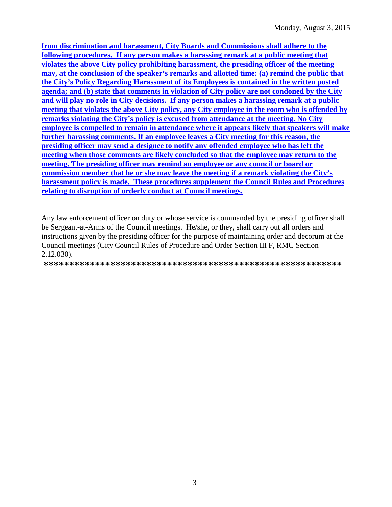**from discrimination and harassment, City Boards and Commissions shall adhere to the following procedures. If any person makes a harassing remark at a public meeting that violates the above City policy prohibiting harassment, the presiding officer of the meeting may, at the conclusion of the speaker's remarks and allotted time: (a) remind the public that the City's Policy Regarding Harassment of its Employees is contained in the written posted agenda; and (b) state that comments in violation of City policy are not condoned by the City and will play no role in City decisions. If any person makes a harassing remark at a public meeting that violates the above City policy, any City employee in the room who is offended by remarks violating the City's policy is excused from attendance at the meeting. No City employee is compelled to remain in attendance where it appears likely that speakers will make further harassing comments. If an employee leaves a City meeting for this reason, the presiding officer may send a designee to notify any offended employee who has left the meeting when those comments are likely concluded so that the employee may return to the meeting. The presiding officer may remind an employee or any council or board or commission member that he or she may leave the meeting if a remark violating the City's harassment policy is made. These procedures supplement the Council Rules and Procedures relating to disruption of orderly conduct at Council meetings.**

Any law enforcement officer on duty or whose service is commanded by the presiding officer shall be Sergeant-at-Arms of the Council meetings. He/she, or they, shall carry out all orders and instructions given by the presiding officer for the purpose of maintaining order and decorum at the Council meetings (City Council Rules of Procedure and Order Section III F, RMC Section 2.12.030).

**\*\*\*\*\*\*\*\*\*\*\*\*\*\*\*\*\*\*\*\*\*\*\*\*\*\*\*\*\*\*\*\*\*\*\*\*\*\*\*\*\*\*\*\*\*\*\*\*\*\*\*\*\*\*\*\*\*\***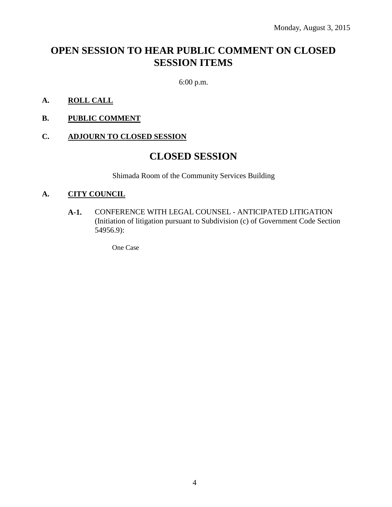## **OPEN SESSION TO HEAR PUBLIC COMMENT ON CLOSED SESSION ITEMS**

6:00 p.m.

- **A. ROLL CALL**
- **B. PUBLIC COMMENT**

#### **C. ADJOURN TO CLOSED SESSION**

### **CLOSED SESSION**

Shimada Room of the Community Services Building

#### **A. CITY COUNCIL**

**A-1.** CONFERENCE WITH LEGAL COUNSEL - ANTICIPATED LITIGATION (Initiation of litigation pursuant to Subdivision (c) of Government Code Section 54956.9):

One Case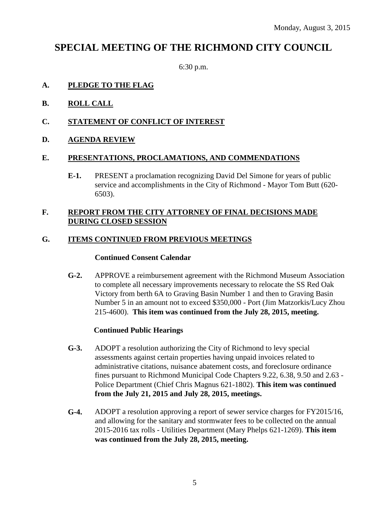### **SPECIAL MEETING OF THE RICHMOND CITY COUNCIL**

6:30 p.m.

#### **A. PLEDGE TO THE FLAG**

- **B. ROLL CALL**
- **C. STATEMENT OF CONFLICT OF INTEREST**
- **D. AGENDA REVIEW**

#### **E. PRESENTATIONS, PROCLAMATIONS, AND COMMENDATIONS**

**E-1.** PRESENT a proclamation recognizing David Del Simone for years of public service and accomplishments in the City of Richmond - Mayor Tom Butt (620- 6503).

#### **F. REPORT FROM THE CITY ATTORNEY OF FINAL DECISIONS MADE DURING CLOSED SESSION**

#### **G. ITEMS CONTINUED FROM PREVIOUS MEETINGS**

#### **Continued Consent Calendar**

**G-2.** APPROVE a reimbursement agreement with the Richmond Museum Association to complete all necessary improvements necessary to relocate the SS Red Oak Victory from berth 6A to Graving Basin Number 1 and then to Graving Basin Number 5 in an amount not to exceed \$350,000 - Port (Jim Matzorkis/Lucy Zhou 215-4600). **This item was continued from the July 28, 2015, meeting.**

#### **Continued Public Hearings**

- **G-3.** ADOPT a resolution authorizing the City of Richmond to levy special assessments against certain properties having unpaid invoices related to administrative citations, nuisance abatement costs, and foreclosure ordinance fines pursuant to Richmond Municipal Code Chapters 9.22, 6.38, 9.50 and 2.63 - Police Department (Chief Chris Magnus 621-1802). **This item was continued from the July 21, 2015 and July 28, 2015, meetings.**
- **G-4.** ADOPT a resolution approving a report of sewer service charges for FY2015/16, and allowing for the sanitary and stormwater fees to be collected on the annual 2015-2016 tax rolls - Utilities Department (Mary Phelps 621-1269). **This item was continued from the July 28, 2015, meeting.**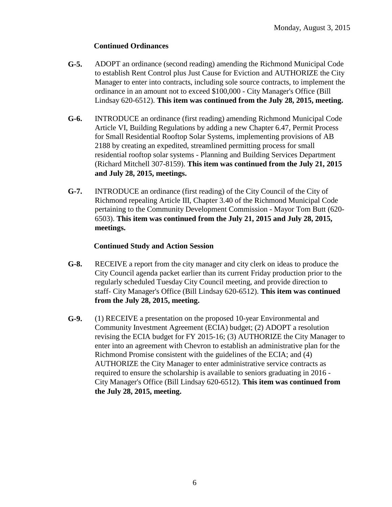#### **Continued Ordinances**

- **G-5.** ADOPT an ordinance (second reading) amending the Richmond Municipal Code to establish Rent Control plus Just Cause for Eviction and AUTHORIZE the City Manager to enter into contracts, including sole source contracts, to implement the ordinance in an amount not to exceed \$100,000 - City Manager's Office (Bill Lindsay 620-6512). **This item was continued from the July 28, 2015, meeting.**
- **G-6.** INTRODUCE an ordinance (first reading) amending Richmond Municipal Code Article VI, Building Regulations by adding a new Chapter 6.47, Permit Process for Small Residential Rooftop Solar Systems, implementing provisions of AB 2188 by creating an expedited, streamlined permitting process for small residential rooftop solar systems - Planning and Building Services Department (Richard Mitchell 307-8159). **This item was continued from the July 21, 2015 and July 28, 2015, meetings.**
- **G-7.** INTRODUCE an ordinance (first reading) of the City Council of the City of Richmond repealing Article III, Chapter 3.40 of the Richmond Municipal Code pertaining to the Community Development Commission - Mayor Tom Butt (620- 6503). **This item was continued from the July 21, 2015 and July 28, 2015, meetings.**

#### **Continued Study and Action Session**

- **G-8.** RECEIVE a report from the city manager and city clerk on ideas to produce the City Council agenda packet earlier than its current Friday production prior to the regularly scheduled Tuesday City Council meeting, and provide direction to staff- City Manager's Office (Bill Lindsay 620-6512). **This item was continued from the July 28, 2015, meeting.**
- **G-9.** (1) RECEIVE a presentation on the proposed 10-year Environmental and Community Investment Agreement (ECIA) budget; (2) ADOPT a resolution revising the ECIA budget for FY 2015-16; (3) AUTHORIZE the City Manager to enter into an agreement with Chevron to establish an administrative plan for the Richmond Promise consistent with the guidelines of the ECIA; and (4) AUTHORIZE the City Manager to enter administrative service contracts as required to ensure the scholarship is available to seniors graduating in 2016 - City Manager's Office (Bill Lindsay 620-6512). **This item was continued from the July 28, 2015, meeting.**